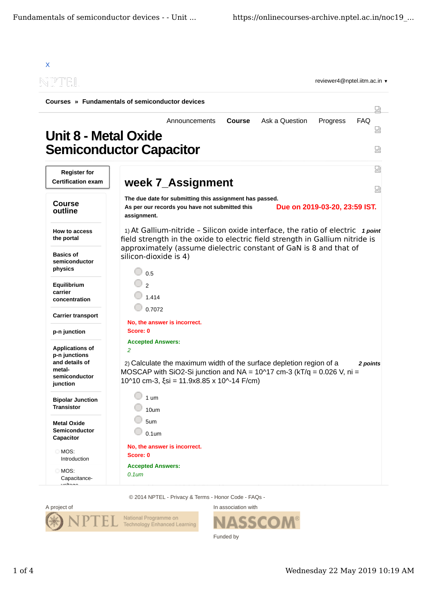| NPTOEIL                                                                                          | reviewer4@nptel.iitm.ac.in $\blacktriangledown$                                                                                                                                                                                                                                               |        |  |  |
|--------------------------------------------------------------------------------------------------|-----------------------------------------------------------------------------------------------------------------------------------------------------------------------------------------------------------------------------------------------------------------------------------------------|--------|--|--|
| Courses » Fundamentals of semiconductor devices                                                  |                                                                                                                                                                                                                                                                                               |        |  |  |
| <b>Unit 8 - Metal Oxide</b>                                                                      | <b>FAQ</b><br><b>Course</b><br>Ask a Question<br>Progress<br>Announcements<br><b>Semiconductor Capacitor</b>                                                                                                                                                                                  | 덣      |  |  |
| <b>Register for</b><br><b>Certification exam</b>                                                 | week 7_Assignment                                                                                                                                                                                                                                                                             | ₩<br>냈 |  |  |
| <b>Course</b><br>outline                                                                         | The due date for submitting this assignment has passed.<br>Due on 2019-03-20, 23:59 IST.<br>As per our records you have not submitted this<br>assignment.                                                                                                                                     |        |  |  |
| <b>How to access</b><br>the portal                                                               | 1) At Gallium-nitride - Silicon oxide interface, the ratio of electric $1 point$<br>field strength in the oxide to electric field strength in Gallium nitride is                                                                                                                              |        |  |  |
| <b>Basics of</b><br>semiconductor<br>physics                                                     | approximately (assume dielectric constant of GaN is 8 and that of<br>silicon-dioxide is 4)<br>0.5                                                                                                                                                                                             |        |  |  |
| Equilibrium<br>carrier<br>concentration                                                          | $\mathfrak{D}$<br>1.414                                                                                                                                                                                                                                                                       |        |  |  |
| <b>Carrier transport</b>                                                                         | 0.7072<br>No, the answer is incorrect.                                                                                                                                                                                                                                                        |        |  |  |
| p-n junction                                                                                     | Score: 0                                                                                                                                                                                                                                                                                      |        |  |  |
| <b>Applications of</b><br>p-n junctions<br>and details of<br>metal-<br>semiconductor<br>junction | <b>Accepted Answers:</b><br>2<br>2) Calculate the maximum width of the surface depletion region of a<br>2 points<br>MOSCAP with SiO2-Si junction and NA = $10^{\circ}17$ cm-3 (kT/q = 0.026 V, ni =<br>$10^{\circ}10$ cm-3, $\xi$ si = 11.9x8.85 x 10 <sup><math>\land</math></sup> -14 F/cm) |        |  |  |
| <b>Bipolar Junction</b><br><b>Transistor</b>                                                     | $1 \text{ um}$<br>10um                                                                                                                                                                                                                                                                        |        |  |  |
| <b>Metal Oxide</b><br>Semiconductor<br>Capacitor                                                 | 5um<br>$0.1$ um                                                                                                                                                                                                                                                                               |        |  |  |
| MOS:<br>Introduction                                                                             | No, the answer is incorrect.<br>Score: 0                                                                                                                                                                                                                                                      |        |  |  |
| MOS:<br>Capacitance-                                                                             | <b>Accepted Answers:</b><br>$0.1$ um                                                                                                                                                                                                                                                          |        |  |  |

© 2014 NPTEL - Privacy & Terms - Honor Code - FAQs -



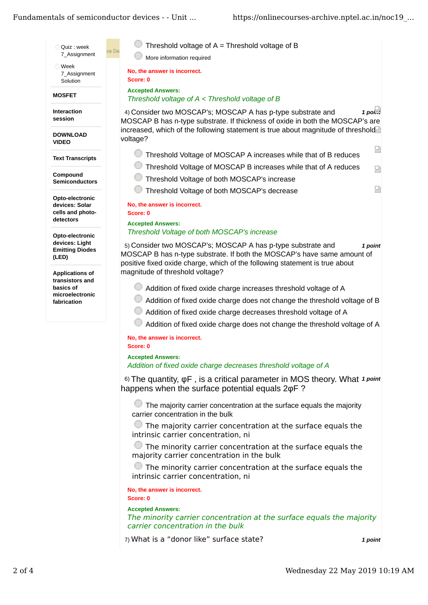## Fundamentals of semiconductor devices - - Unit ...

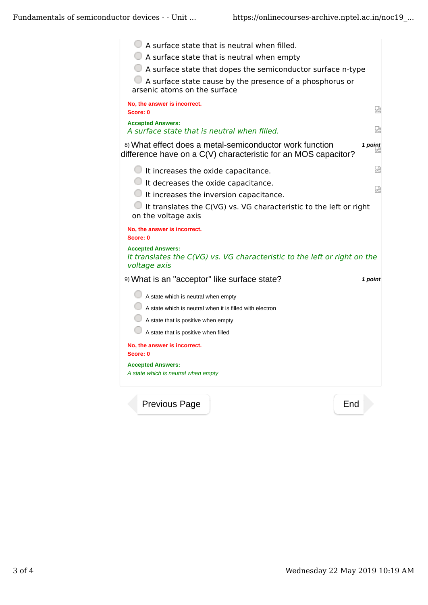

Previous Page | New York | End